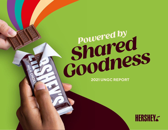## *Powered by*<br>**Powered by** *Powered by Shared*  **2021 UNITEREPORT**

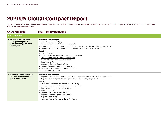## 2021 UN Global Compact Report

This report serves as Hershey's annual United Nations Global Compact (UNGC) "Communication on Progress", as it includes discussion of the 10 principles of the UNGC and support for the broader UN Sustainable Development Goals.

| <b>UNGC Principle</b>                                                                                        | <b>2021 Hershey Response</b>                                                                                                                                                                                                                                                                                                                                                                                                                                                                                                                                             |
|--------------------------------------------------------------------------------------------------------------|--------------------------------------------------------------------------------------------------------------------------------------------------------------------------------------------------------------------------------------------------------------------------------------------------------------------------------------------------------------------------------------------------------------------------------------------------------------------------------------------------------------------------------------------------------------------------|
| <b>HUMAN RIGHTS</b>                                                                                          |                                                                                                                                                                                                                                                                                                                                                                                                                                                                                                                                                                          |
| 1. Businesses should support<br>and respect the protection<br>of internationally proclaimed<br>human rights. | Hershey 2021 ESG Report:<br>• Cocoa: Cocoa For Good, page 21<br>• Our Company: Corporate Governance, page 11<br>• Responsible Sourcing and Human Rights: Human Rights Across Our Value Chain, pages 34 - 37<br>· Responsible Sourcing and Human Rights: Responsible Sourcing, pages 39 - 42<br>See also:                                                                                                                                                                                                                                                                 |
|                                                                                                              | • Code of Conduct<br>• Embedding Responsible Recruitment and Employment<br>• Ethics & Compliance: Hershey's Concern Line<br>• Hershey's Commitment to Human Rights<br>• Human Rights Policy<br>• Responsible Palm Oil Sourcing Policy<br>• Responsible Pulp & Paper Sourcing Policy<br>· Statement Against Slavery and Human Trafficking<br>• Supplier Code of Conduct                                                                                                                                                                                                   |
| 2. Businesses should make sure<br>that they are not complicit in<br>human rights abuses.                     | Hershey 2021 ESG Report:<br>• Responsible Sourcing and Human Rights: Human Rights Across Our Value Chain, pages 34 - 37<br>• Responsible Sourcing and Human Rights: Responsible Sourcing, pages 39 - 42<br>See also:<br>• Child Labor Monitoring and Remediation (CLMRS)<br>· Embedding Responsible Recruitment and Employment<br>• Hershey's Commitment to Human Rights<br>• Human Rights Policy<br>• Responsible Palm Oil Sourcing Policy<br>• Responsible Pulp & Paper Sourcing Policy<br>• Responsible Sourcing<br>• Statement Against Slavery and Human Trafficking |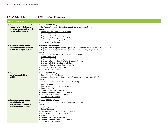m.

## UNGC Principle 2021 Hershey Response

| <b>LABOR STANDARDS</b>                                                                                                               |                                                                                                                                                                                                                                                                                                                                                                                                                                                                                                                                                                                              |
|--------------------------------------------------------------------------------------------------------------------------------------|----------------------------------------------------------------------------------------------------------------------------------------------------------------------------------------------------------------------------------------------------------------------------------------------------------------------------------------------------------------------------------------------------------------------------------------------------------------------------------------------------------------------------------------------------------------------------------------------|
| 3. Businesses should uphold the<br>freedom of association and<br>the effective recognition of the<br>right to collective bargaining. | Hershey 2021 ESG Report:<br>• Our People: Providing a Caring Employee Experience, pages 65 - 66<br>See also:<br>• Hershey's Commitment to Human Rights<br>• Human Rights Policy<br>· Responsible Palm Oil Sourcing Policy<br>· Responsible Pulp & Paper Sourcing Policy<br>• Statement Against Slavery and Human Trafficking<br>• Supplier Code of Conduct                                                                                                                                                                                                                                   |
| 4. Businesses should uphold<br>the elimination of all forms of<br>forced and compulsory labor.                                       | Hershey 2021 ESG Report:<br>• Responsible Sourcing and Human Rights: Human Rights Across Our Value Chain, pages 34 - 37<br>· Responsible Sourcing and Human Rights: Responsible Sourcing, pages 39 - 42<br>See also:<br>• Embedding Responsible Recruitment and Employment<br>• Human Rights Policy<br>· Responsible Palm Oil Sourcing Policy<br>• Responsible Palm Oil Sourcing Policy Grievance Process<br>· Responsible Pulp & Paper Sourcing Policy<br>· Responsible Recruiting and Employment Policy<br>• Statement Against Slavery and Human Trafficking<br>• Supplier Code of Conduct |
| 5. Businesses should uphold<br>the effective abolition of<br>child labor.                                                            | Hershey 2021 ESG Report:<br>• Cocoa: Cocoa For Good, page 21<br>· Responsible Sourcing and Human Rights: Responsible Sourcing, pages 39 - 42<br>See also:<br>· Child Labor Monitoring and Remediation (CLMRS)<br>• Cocoa For Good<br>· Hershey's Commitment to Human Rights<br>• Human Rights Policy<br>· Responsible Palm Oil Sourcing Policy<br>· Responsible Pulp & Paper Sourcing Policy<br>· Statement Against Slavery and Human Trafficking<br>• Supplier Code of Conduct                                                                                                              |
| 6. Businesses should uphold<br>the elimination of<br>discrimination in respect of<br>employment and occupation.                      | Hershey 2021 ESG Report:<br>• Our People: Accelerating DEI Efforts at Hershey, page 67<br>See also:<br>• Amplifying Supplier Diversity<br>• Code of Conduct<br>• Equal Employment Opportunity (EEO) Policy<br>• Hershey's Commitment to Human Rights<br>• Human Rights Policy<br>· Responsible Palm Oil Sourcing Policy<br>• Responsible Pulp & Paper Sourcing Policy                                                                                                                                                                                                                        |

• [Supplier Code of Conduc](https://www.thehersheycompany.com/content/dam/corporate-us/documents/partners-and-suppliers/supplier-code-of-conduct.pdf)t